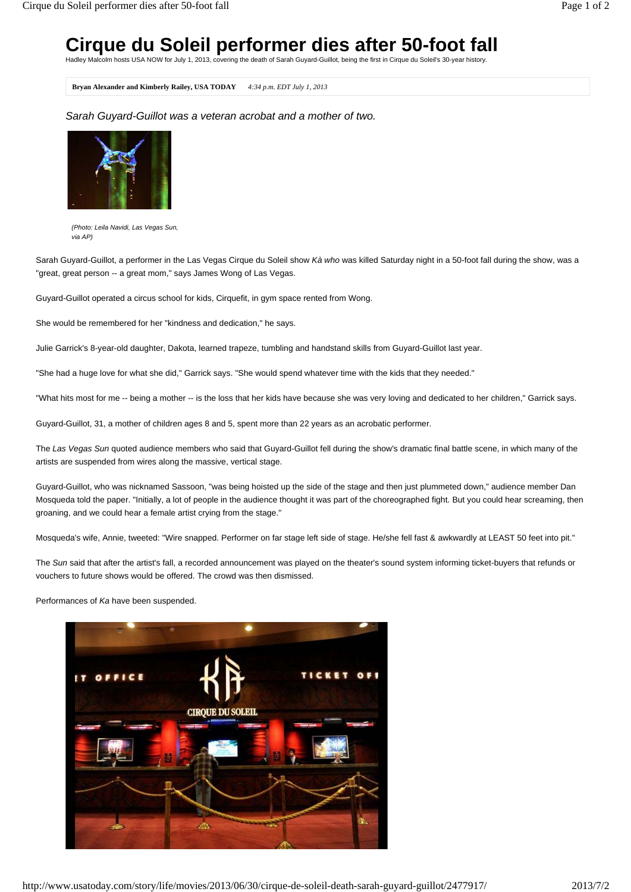## **Cirque du Soleil performer dies after 50-foot fall**

Hadley Malcolm hosts USA NOW for July 1, 2013, covering the death of Sarah Guyard-Guillot, being the first in Cirque du Soleil's 30-year history.

**Bryan Alexander and Kimberly Railey, USA TODAY** *4:34 p.m. EDT July 1, 2013*

*Sarah Guyard-Guillot was a veteran acrobat and a mother of two.*



*(Photo: Leila Navidi, Las Vegas Sun, via AP)*

Sarah Guyard-Guillot, a performer in the Las Vegas Cirque du Soleil show *Kà who* was killed Saturday night in a 50-foot fall during the show, was a "great, great person -- a great mom," says James Wong of Las Vegas.

Guyard-Guillot operated a circus school for kids, Cirquefit, in gym space rented from Wong.

She would be remembered for her "kindness and dedication," he says.

Julie Garrick's 8-year-old daughter, Dakota, learned trapeze, tumbling and handstand skills from Guyard-Guillot last year.

"She had a huge love for what she did," Garrick says. "She would spend whatever time with the kids that they needed."

"What hits most for me -- being a mother -- is the loss that her kids have because she was very loving and dedicated to her children," Garrick says.

Guyard-Guillot, 31, a mother of children ages 8 and 5, spent more than 22 years as an acrobatic performer.

The *Las Vegas Sun* quoted audience members who said that Guyard-Guillot fell during the show's dramatic final battle scene, in which many of the artists are suspended from wires along the massive, vertical stage.

Guyard-Guillot, who was nicknamed Sassoon, "was being hoisted up the side of the stage and then just plummeted down," audience member Dan Mosqueda told the paper. "Initially, a lot of people in the audience thought it was part of the choreographed fight. But you could hear screaming, then groaning, and we could hear a female artist crying from the stage."

Mosqueda's wife, Annie, tweeted: "Wire snapped. Performer on far stage left side of stage. He/she fell fast & awkwardly at LEAST 50 feet into pit."

The *Sun* said that after the artist's fall, a recorded announcement was played on the theater's sound system informing ticket-buyers that refunds or vouchers to future shows would be offered. The crowd was then dismissed.

Performances of *Ka* have been suspended.